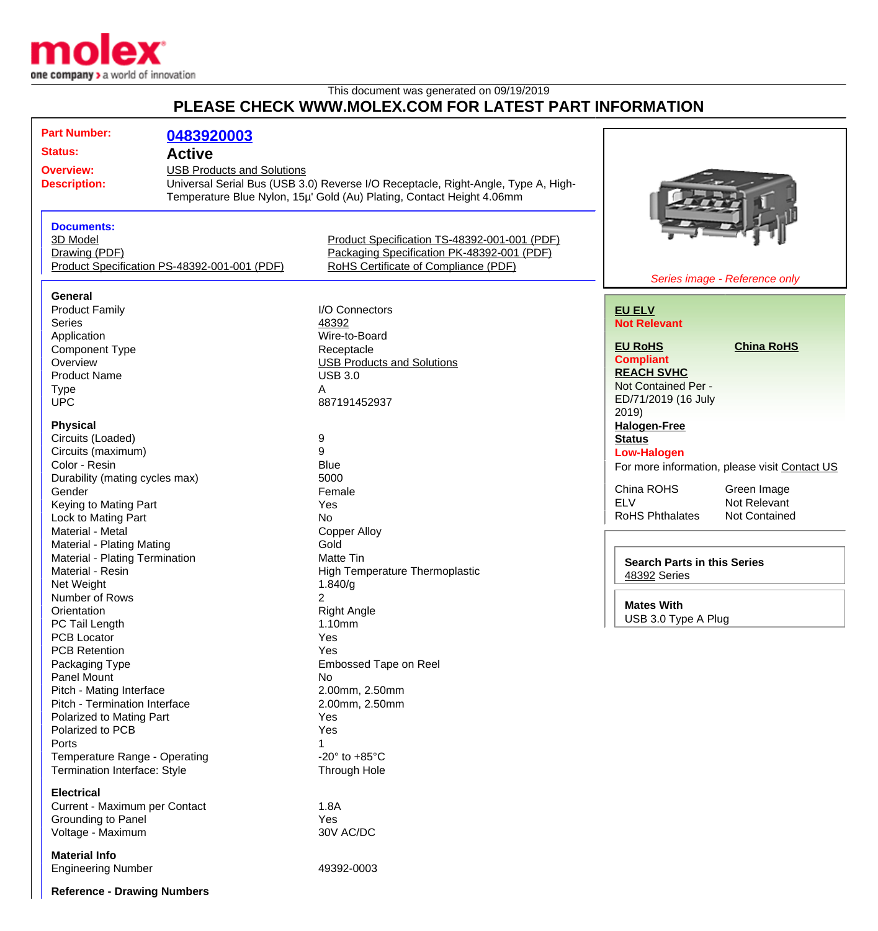

## This document was generated on 09/19/2019 **PLEASE CHECK WWW.MOLEX.COM FOR LATEST PART INFORMATION**

| <b>Part Number:</b>                          | 0483920003                        |                                                                                   |                                               |
|----------------------------------------------|-----------------------------------|-----------------------------------------------------------------------------------|-----------------------------------------------|
| <b>Status:</b>                               | <b>Active</b>                     |                                                                                   |                                               |
| <b>Overview:</b>                             | <b>USB Products and Solutions</b> |                                                                                   |                                               |
| <b>Description:</b>                          |                                   | Universal Serial Bus (USB 3.0) Reverse I/O Receptacle, Right-Angle, Type A, High- |                                               |
|                                              |                                   | Temperature Blue Nylon, 15µ' Gold (Au) Plating, Contact Height 4.06mm             |                                               |
|                                              |                                   |                                                                                   |                                               |
|                                              |                                   |                                                                                   |                                               |
| <b>Documents:</b>                            |                                   |                                                                                   |                                               |
| 3D Model                                     |                                   | Product Specification TS-48392-001-001 (PDF)                                      |                                               |
| Drawing (PDF)                                |                                   | Packaging Specification PK-48392-001 (PDF)                                        |                                               |
| Product Specification PS-48392-001-001 (PDF) |                                   | RoHS Certificate of Compliance (PDF)                                              |                                               |
|                                              |                                   |                                                                                   | Series image - Reference only                 |
| <b>General</b>                               |                                   |                                                                                   |                                               |
| <b>Product Family</b>                        |                                   | I/O Connectors                                                                    | <b>EU ELV</b>                                 |
| Series                                       |                                   | 48392                                                                             | <b>Not Relevant</b>                           |
| Application                                  |                                   | Wire-to-Board                                                                     |                                               |
| <b>Component Type</b>                        |                                   | Receptacle                                                                        | <b>EU RoHS</b><br><b>China RoHS</b>           |
| Overview                                     |                                   |                                                                                   | <b>Compliant</b>                              |
|                                              |                                   | <b>USB Products and Solutions</b>                                                 | <b>REACH SVHC</b>                             |
| <b>Product Name</b>                          |                                   | <b>USB 3.0</b>                                                                    | Not Contained Per -                           |
| <b>Type</b>                                  |                                   | A                                                                                 |                                               |
| <b>UPC</b>                                   |                                   | 887191452937                                                                      | ED/71/2019 (16 July                           |
|                                              |                                   |                                                                                   | 2019                                          |
| <b>Physical</b>                              |                                   |                                                                                   | <b>Halogen-Free</b>                           |
| Circuits (Loaded)                            |                                   | 9                                                                                 | <b>Status</b>                                 |
| Circuits (maximum)                           |                                   | 9                                                                                 | <b>Low-Halogen</b>                            |
| Color - Resin                                |                                   | <b>Blue</b>                                                                       | For more information, please visit Contact US |
| Durability (mating cycles max)               |                                   | 5000                                                                              |                                               |
| Gender                                       |                                   | Female                                                                            | China ROHS<br>Green Image                     |
| Keying to Mating Part                        |                                   | Yes                                                                               | <b>ELV</b><br>Not Relevant                    |
| Lock to Mating Part                          |                                   | <b>No</b>                                                                         | <b>RoHS Phthalates</b><br>Not Contained       |
| Material - Metal                             |                                   | <b>Copper Alloy</b>                                                               |                                               |
| Material - Plating Mating                    |                                   | Gold                                                                              |                                               |
| Material - Plating Termination               |                                   | <b>Matte Tin</b>                                                                  |                                               |
| Material - Resin                             |                                   | <b>High Temperature Thermoplastic</b>                                             | <b>Search Parts in this Series</b>            |
| Net Weight                                   |                                   | 1.840/g                                                                           | 48392 Series                                  |
| Number of Rows                               |                                   | $\overline{2}$                                                                    |                                               |
|                                              |                                   | <b>Right Angle</b>                                                                | <b>Mates With</b>                             |
| Orientation                                  |                                   |                                                                                   | USB 3.0 Type A Plug                           |
| PC Tail Length                               |                                   | 1.10mm                                                                            |                                               |
| PCB Locator                                  |                                   | Yes                                                                               |                                               |
| <b>PCB Retention</b>                         |                                   | Yes                                                                               |                                               |
| Packaging Type                               |                                   | Embossed Tape on Reel                                                             |                                               |
| Panel Mount                                  |                                   | No                                                                                |                                               |
| Pitch - Mating Interface                     |                                   | 2.00mm, 2.50mm                                                                    |                                               |
| Pitch - Termination Interface                |                                   | 2.00mm, 2.50mm                                                                    |                                               |
| Polarized to Mating Part                     |                                   | Yes                                                                               |                                               |
| Polarized to PCB                             |                                   | Yes                                                                               |                                               |
| Ports                                        |                                   |                                                                                   |                                               |
| Temperature Range - Operating                |                                   | -20 $\degree$ to +85 $\degree$ C                                                  |                                               |
| <b>Termination Interface: Style</b>          |                                   | Through Hole                                                                      |                                               |
|                                              |                                   |                                                                                   |                                               |
| <b>Electrical</b>                            |                                   |                                                                                   |                                               |
| Current - Maximum per Contact                |                                   | 1.8A                                                                              |                                               |
| Grounding to Panel                           |                                   | Yes                                                                               |                                               |
| Voltage - Maximum                            |                                   | 30V AC/DC                                                                         |                                               |
|                                              |                                   |                                                                                   |                                               |
| <b>Material Info</b>                         |                                   |                                                                                   |                                               |
| <b>Engineering Number</b>                    |                                   | 49392-0003                                                                        |                                               |
|                                              |                                   |                                                                                   |                                               |
| <b>Reference - Drawing Numbers</b>           |                                   |                                                                                   |                                               |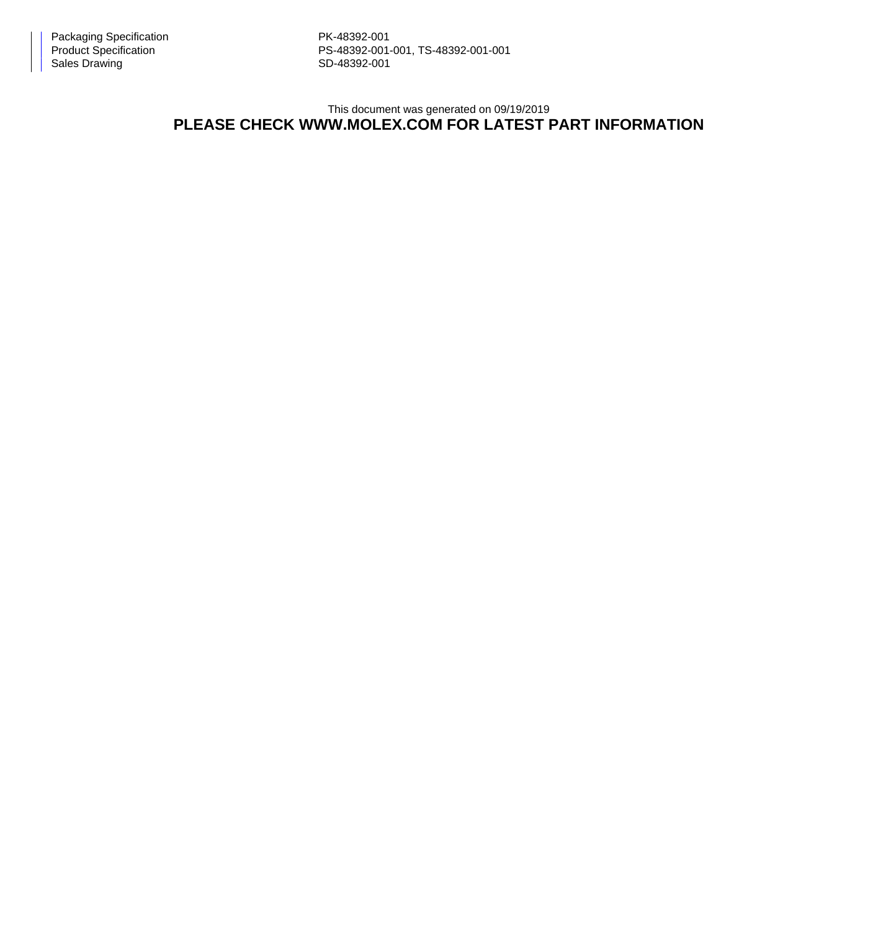PS-48392-001-001, TS-48392-001-001

This document was generated on 09/19/2019

## **PLEASE CHECK WWW.MOLEX.COM FOR LATEST PART INFORMATION**